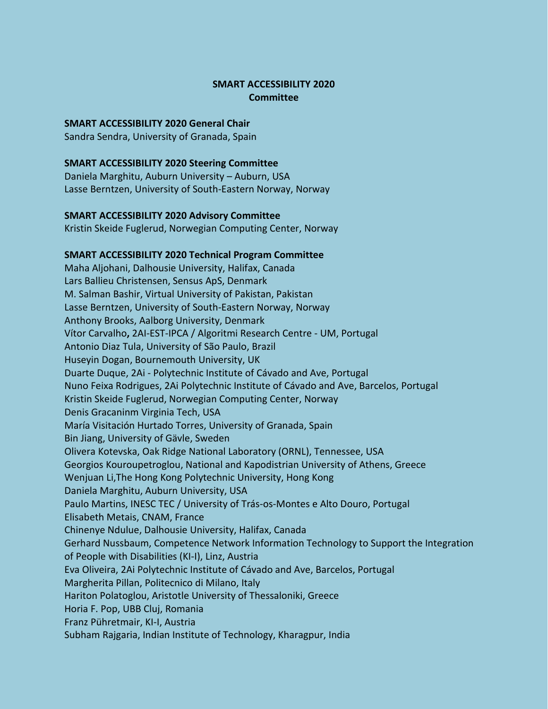# **SMART ACCESSIBILITY 2020 Committee**

## **SMART ACCESSIBILITY 2020 General Chair**

Sandra Sendra, University of Granada, Spain

#### **SMART ACCESSIBILITY 2020 Steering Committee**

Daniela Marghitu, Auburn University – Auburn, USA Lasse Berntzen, University of South-Eastern Norway, Norway

## **SMART ACCESSIBILITY 2020 Advisory Committee**

Kristin Skeide Fuglerud, Norwegian Computing Center, Norway

## **SMART ACCESSIBILITY 2020 Technical Program Committee**

Maha Aljohani, Dalhousie University, Halifax, Canada Lars Ballieu Christensen, Sensus ApS, Denmark M. Salman Bashir, Virtual University of Pakistan, Pakistan Lasse Berntzen, University of South-Eastern Norway, Norway Anthony Brooks, Aalborg University, Denmark Vítor Carvalho**,** 2AI-EST-IPCA / Algoritmi Research Centre - UM, Portugal Antonio Diaz Tula, University of São Paulo, Brazil Huseyin Dogan, Bournemouth University, UK Duarte Duque, 2Ai - Polytechnic Institute of Cávado and Ave, Portugal Nuno Feixa Rodrigues, 2Ai Polytechnic Institute of Cávado and Ave, Barcelos, Portugal Kristin Skeide Fuglerud, Norwegian Computing Center, Norway Denis Gracaninm Virginia Tech, USA María Visitación Hurtado Torres, University of Granada, Spain Bin Jiang, University of Gävle, Sweden Olivera Kotevska, Oak Ridge National Laboratory (ORNL), Tennessee, USA Georgios Kouroupetroglou, National and Kapodistrian University of Athens, Greece Wenjuan Li,The Hong Kong Polytechnic University, Hong Kong Daniela Marghitu, Auburn University, USA Paulo Martins, INESC TEC / University of Trás-os-Montes e Alto Douro, Portugal Elisabeth Metais, CNAM, France Chinenye Ndulue, Dalhousie University, Halifax, Canada Gerhard Nussbaum, Competence Network Information Technology to Support the Integration of People with Disabilities (KI-I), Linz, Austria Eva Oliveira, 2Ai Polytechnic Institute of Cávado and Ave, Barcelos, Portugal Margherita Pillan, Politecnico di Milano, Italy Hariton Polatoglou, Aristotle University of Thessaloniki, Greece Horia F. Pop, UBB Cluj, Romania Franz Pühretmair, KI-I, Austria Subham Rajgaria, Indian Institute of Technology, Kharagpur, India